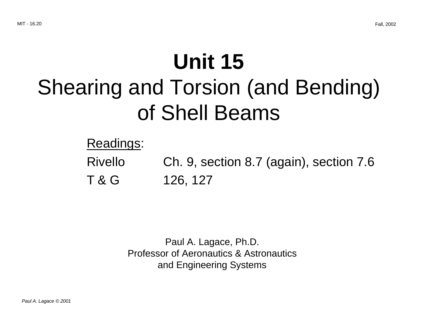# **Unit 15** Shearing and Torsion (and Bending) of Shell Beams

Readings:

Rivello Ch. 9, section 8.7 (again), section 7.6 T & G 126, 127

> Paul A. Lagace, Ph.D. Professor of Aeronautics & Astronautics and Engineering Systems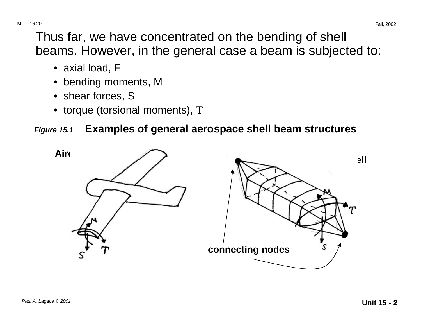- axial load, F
- bending moments, M
- shear forces, S
- torque (torsional moments), T

### **Figure 15.1 Examples of general aerospace shell beam structures**

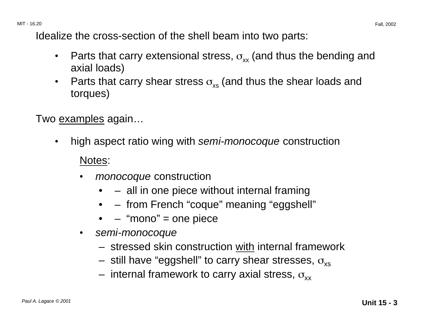Idealize the cross-section of the shell beam into two parts:

- Parts that carry extensional stress,  $\sigma_{xx}$  (and thus the bending and axial loads)
- Parts that carry shear stress  $\sigma_{\rm ss}$  (and thus the shear loads and torques)

Two examples again...

• high aspect ratio wing with semi-monocoque construction

#### Notes:

- *monocoque* construction
	- – all in one piece without internal framing
	- – from French "coque" meaning "eggshell"
	- – "mono" = one piece
- semi-monocoque
	- stressed skin construction with internal framework
	- still have "eggshell" to carry shear stresses,  $\sigma_{\rm xs}$
	- internal framework to carry axial stress,  $\sigma_{xx}$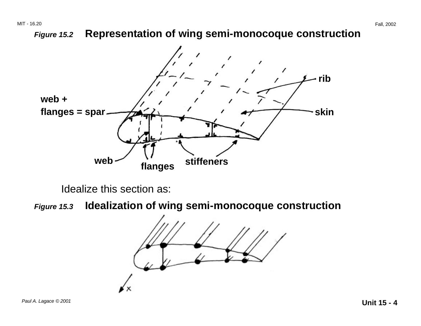### **Figure 15.2 Representation of wing semi-monocoque construction**



Idealize this section as:

**Figure 15.3 Idealization of wing semi-monocoque construction** 

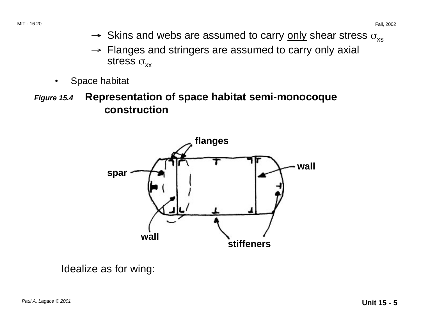- $\rightarrow$  Skins and webs are assumed to carry <u>only</u> shear stress  $\sigma_{\mathrm{xs}}$
- → Flanges and stringers are assumed to carry only axial stress  $\sigma_{xx}$
- Space habitat
- **Figure 15.4 Representation of space habitat semi-monocoque construction**



Idealize as for wing: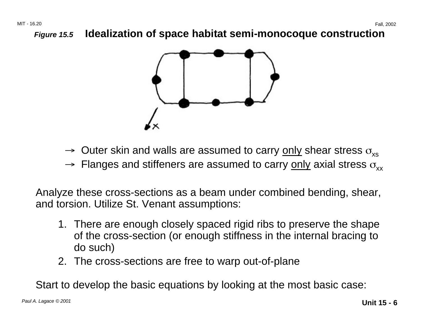**Figure 15.5 Idealization of space habitat semi-monocoque construction** 



- $\rightarrow \,$  Outer skin and walls are assumed to carry <u>only</u> shear stress  $\sigma_{\rm xs}$
- $\rightarrow$  Flanges and stiffeners are assumed to carry <u>only</u> axial stress  $\sigma_{xx}$

Analyze these cross-sections as a beam under combined bending, shear, and torsion. Utilize St. Venant assumptions:

- 1. There are enough closely spaced rigid ribs to preserve the shape of the cross-section (or enough stiffness in the internal bracing to do such)
- 2. The cross-sections are free to warp out-of-plane

Start to develop the basic equations by looking at the most basic case: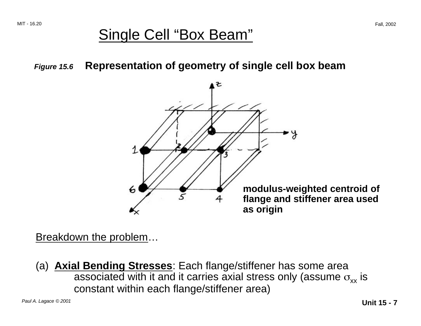# Single Cell "Box Beam"

**Figure 15.6 Representation of geometry of single cell box beam** 



Breakdown the problem…

(a) **Axial Bending Stresses**: Each flange/stiffener has some area associated with it and it carries axial stress only (assume  $\sigma_{xx}$  is constant within each flange/stiffener area)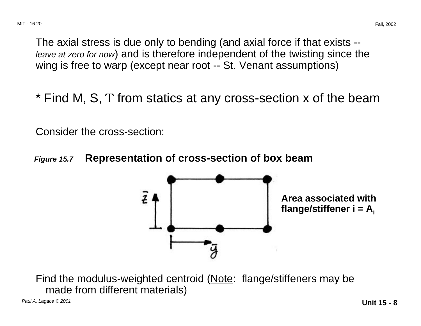The axial stress is due only to bending (and axial force if that exists - leave at zero for now) and is therefore independent of the twisting since the wing is free to warp (except near root -- St. Venant assumptions)

\* Find M, S, T from statics at any cross-section x of the beam

Consider the cross-section:

**Figure 15.7 Representation of cross-section of box beam** 



Find the modulus-weighted centroid (Note: flange/stiffeners may be made from different materials)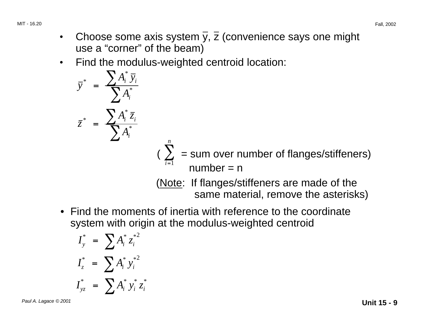- Choose some axis system  $\overline{y}$ ,  $\overline{z}$  (convenience says one might use a "corner" of the beam)
- Find the modulus-weighted centroid location:

$$
\overline{y}^* = \frac{\sum A_i^* \overline{y}_i}{\sum A_i^*}
$$
\n
$$
\overline{z}^* = \frac{\sum A_i^* \overline{z}_i}{\sum A_i^*}
$$
\n
$$
(\sum_{i=1}^n \overline{z}_i - \sum_{i=1}^n \overline{z}_i)
$$
\n
$$
(\sum_{i=1}^n \overline{z}_i - \sum_{i=1}^n \overline{z}_i)
$$
\n
$$
(\sum_{i=1}^n \overline{z}_i - \sum_{i=1}^n \overline{z}_i)
$$
\n
$$
(\sum_{i=1}^n \overline{z}_i - \sum_{i=1}^n \overline{z}_i)
$$
\n
$$
(\sum_{i=1}^n \overline{z}_i - \sum_{i=1}^n \overline{z}_i)
$$
\n
$$
(\sum_{i=1}^n \overline{z}_i - \sum_{i=1}^n \overline{z}_i)
$$
\n
$$
(\sum_{i=1}^n \overline{z}_i - \sum_{i=1}^n \overline{z}_i)
$$
\n
$$
(\sum_{i=1}^n \overline{z}_i - \sum_{i=1}^n \overline{z}_i)
$$
\n
$$
(\sum_{i=1}^n \overline{z}_i - \sum_{i=1}^n \overline{z}_i)
$$
\n
$$
(\sum_{i=1}^n \overline{z}_i - \sum_{i=1}^n \overline{z}_i)
$$
\n
$$
(\sum_{i=1}^n \overline{z}_i - \sum_{i=1}^n \overline{z}_i)
$$
\n
$$
(\sum_{i=1}^n \overline{z}_i - \sum_{i=1}^n \overline{z}_i)
$$
\n
$$
(\sum_{i=1}^n \overline{z}_i - \sum_{i=1}^n \overline{z}_i)
$$
\n
$$
(\sum_{i=1}^n \overline{z}_i - \sum_{i=1}^n \overline{z}_i)
$$
\n
$$
(\sum_{i=1}^n \overline{z}_i - \sum_{i=1}^n \overline{z}_i)
$$
\n
$$
(\sum_{i=1}^n \overline{z}_i - \sum_{i=1}^n \overline{z}_i)
$$

• Find the moments of inertia with reference to the coordinate system with origin at the modulus-weighted centroid

$$
I_{y}^{*} = \sum A_{i}^{*} z_{i}^{*2}
$$
  

$$
I_{z}^{*} = \sum A_{i}^{*} y_{i}^{*2}
$$
  

$$
I_{yz}^{*} = \sum A_{i}^{*} y_{i}^{*} z_{i}^{*}
$$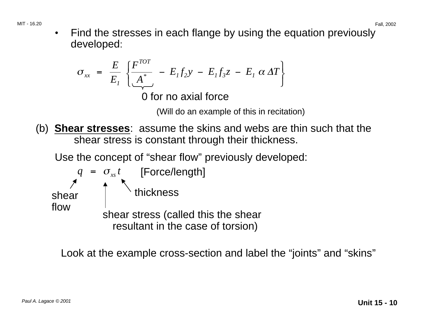MIT - 16.20 Fall, 2002 • Find the stresses in each flange by using the equation previously developed:

$$
\sigma_{xx} = \frac{E}{E_I} \left\{ \frac{F^{TOT}}{A^*} - E_I f_2 y - E_I f_3 z - E_I \alpha \Delta T \right\}
$$

0 for no axial force

(Will do an example of this in recitation)

- (b) **Shear stresses**: assume the skins and webs are thin such that the shear stress is constant through their thickness.
	- Use the concept of "shear flow" previously developed:

 $q = \sigma_{ss} t$  [Force/length] shear  $\int$  thickness flow flow shear stress (called this the shear resultant in the case of torsion)

Look at the example cross-section and label the "joints" and "skins"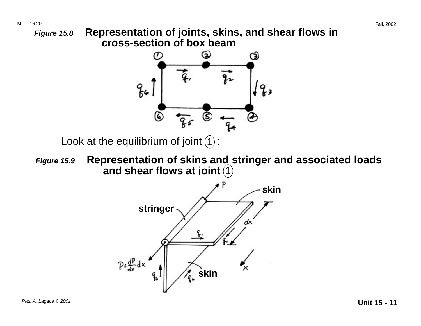

 $\frac{1}{4}$ , skin

 $p_{t} \frac{d^{p}}{dx} dx$ 

q,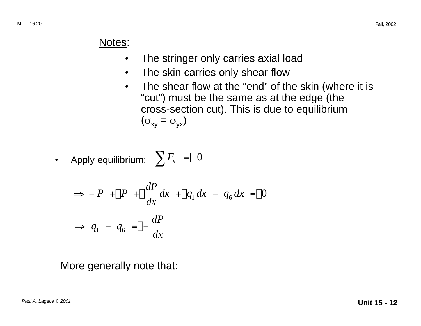#### Notes:

- The stringer only carries axial load
- The skin carries only shear flow
- The shear flow at the "end" of the skin (where it is "cut") must be the same as at the edge (the cross-section cut). This is due to equilibrium  $(\sigma_{xy} = \sigma_{yx})$

• Apply equilibrium: 
$$
\sum F_x = 0
$$

$$
\Rightarrow -P + P + \frac{dP}{dx}dx + q_1 dx - q_6 dx = 0
$$

$$
\Rightarrow q_1 - q_6 = -\frac{dP}{dx}
$$

More generally note that: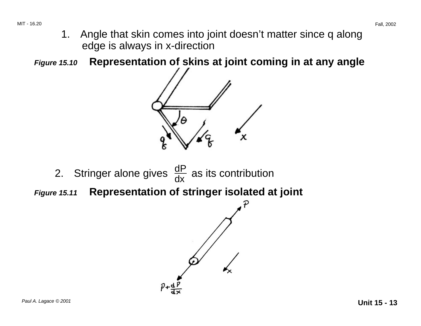- 1. Angle that skin comes into joint doesn't matter since q along edge is always in x-direction
- **Figure 15.10 Representation of skins at joint coming in at any angle**



- 2. Stringer alone gives  $\frac{dP}{dx}$  as its contribution
- **Figure 15.11 Representation of stringer isolated at joint**

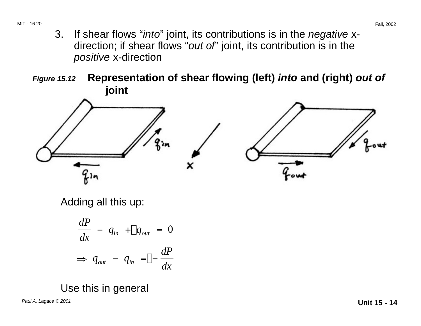- 3. If shear flows "into" joint, its contributions is in the negative xdirection; if shear flows "out of" joint, its contribution is in the positive x-direction
- **Figure 15.12 Representation of shear flowing (left) into and (right) out of joint**



Adding all this up:

$$
\frac{dP}{dx} - q_{in} + q_{out} = 0
$$
\n
$$
\Rightarrow q_{out} - q_{in} = -\frac{dP}{dx}
$$

Use this in general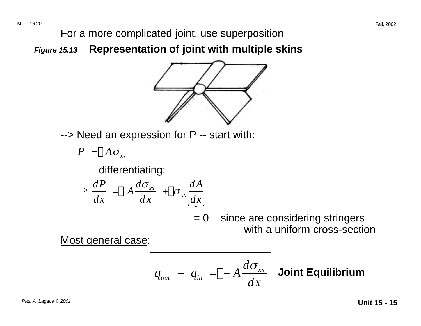For a more complicated joint, use superposition

**Figure 15.13 Representation of joint with multiple skins** 



--> Need an expression for P -- start with:

$$
P = A \sigma_{xx}
$$

differentiating:

$$
\Rightarrow \frac{dP}{dx} = A \frac{d\sigma_{xx}}{dx} + \sigma_{xx} \frac{dA}{dx}
$$

= 0 since are considering stringers with a uniform cross-section

Most general case:

$$
q_{out} - q_{in} = -A \frac{d\sigma_{xx}}{dx}
$$
 Joint Equilibrium

Paul A. Lagace © 2001 **Unit 15 - 15**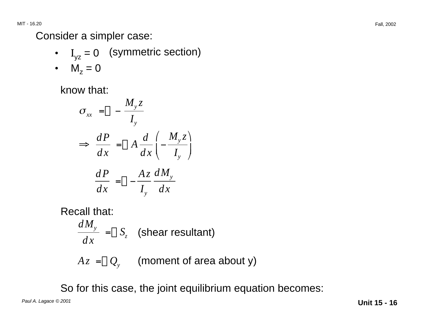Consider a simpler case:

- $I_{yz} = 0$  (symmetric section)
- $M_z = 0$

know that:

$$
\sigma_{xx} = -\frac{M_y z}{I_y}
$$
  
\n
$$
\Rightarrow \frac{dP}{dx} = A \frac{d}{dx} \left( -\frac{M_y z}{I_y} \right)
$$
  
\n
$$
\frac{dP}{dx} = -\frac{Az}{I_y} \frac{dM_y}{dx}
$$

Recall that:

$$
\frac{dM_y}{dx} = S_z
$$
 (shear resultant)  

$$
Az = Q_y
$$
 (moment of area about y)

So for this case, the joint equilibrium equation becomes:

Paul A. Lagace © 2001 **Unit 15 - 16**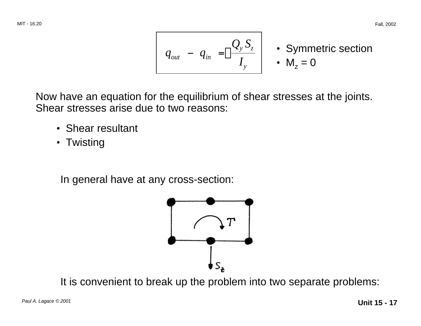$$
q_{out} - q_{in} = \frac{Q_y S_z}{I_y} \cdot \text{Symmetric section}
$$

Now have an equation for the equilibrium of shear stresses at the joints. Shear stresses arise due to two reasons:

- Shear resultant
- Twisting

In general have at any cross-section:



It is convenient to break up the problem into two separate problems: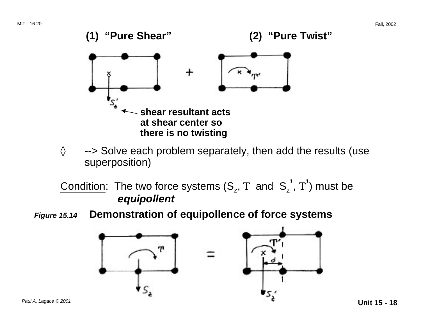

 $\diamond$  --> Solve each problem separately, then add the results (use superposition)

Condition: The two force systems  $(S_z, T \text{ and } S_z', T')$  must be **equipollent** 

**Figure 15.14 Demonstration of equipollence of force systems** 

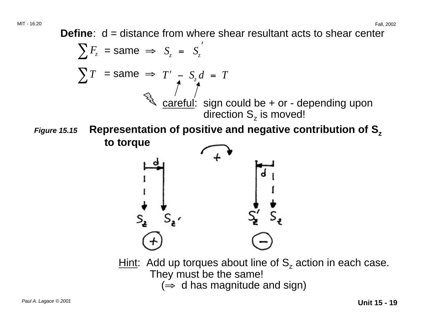**Define**:  $d = distance$  from where shear resultant acts to shear center

$$
\sum F_z = \text{same} \implies S_z = S_z'
$$
\n
$$
\sum T = \text{same} \implies T' = S_z d = T
$$
\n
$$
\begin{array}{rcl}\n&\text{carefull: sign could be + or - depending upon direction } S_z \text{ is moved!} \\
&\text{to torque} \\
&\text{to torque} \\
&\text{to torque} \\
&\text{if } V = \text{average} \\
&\text{if } V = \text{average} \\
&\text{if } V = \text{average} \\
&\text{if } V = \text{average} \\
&\text{if } V = \text{average} \\
&\text{if } V = \text{average} \\
&\text{if } V = \text{average} \\
&\text{if } V = \text{average} \\
&\text{if } V = \text{average} \\
&\text{if } V = \text{average} \\
&\text{if } V = \text{average} \\
&\text{if } V = \text{average} \\
&\text{if } V = \text{average} \\
&\text{if } V = \text{average} \\
&\text{if } V = \text{average} \\
&\text{if } V = \text{average} \\
&\text{if } V = \text{average} \\
&\text{if } V = \text{average} \\
&\text{if } V = \text{average} \\
&\text{if } V = \text{average} \\
&\text{if } V = \text{average} \\
&\text{if } V = \text{average} \\
&\text{if } V = \text{average} \\
&\text{if } V = \text{average} \\
&\text{if } V = \text{average} \\
&\text{if } V = \text{average} \\
&\text{if } V = \text{average} \\
&\text{if } V = \text{average} \\
&\text{if } V = \text{average} \\
&\text{if } V = \text{average} \\
&\text{if } V = \text{average} \\
&\text{if } V = \text{average} \\
&\text{if } V = \text{average} \\
&\text{if } V = \text{average} \\
&\text{if } V = \text{average} \\
&\text{if } V = \text{average} \\
&\text{if } V = \text{average} \\
&\text{if } V = \text{average} \\
&\text{if } V = \text{average} \\
&\text{if } V = \text{average} \\
&\text{if } V = \text{average} \\
&\text{if } V = \text{average} \\
&\text{if } V = \text{average} \\
&\text{if } V = \text{average} \\
&\text{if } V = \text{average} \\
&\text{if } V = \text{average} \\
$$

They must be the same!  $(\Rightarrow$  d has magnitude and sign)

Paul A. Lagace © 2001 **Unit 15 - 19**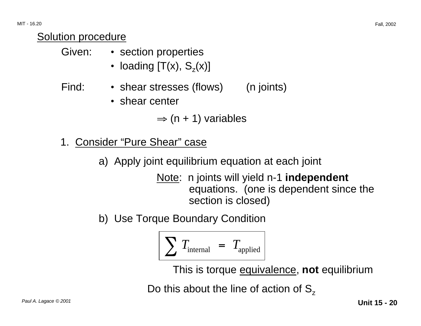### Solution procedure

| Given: |  | • section properties |
|--------|--|----------------------|
|--------|--|----------------------|

• loading  $[T(x), S<sub>z</sub>(x)]$ 

## Find: • shear stresses (flows) (n joints)

• shear center

 $\Rightarrow$  (n + 1) variables

- 1. Consider "Pure Shear" case
	- a) Apply joint equilibrium equation at each joint

Note: n joints will yield n-1 **independent**  equations. (one is dependent since the section is closed)

b) Use Torque Boundary Condition

$$
\sum T_{\text{internal}} = T_{\text{applied}}
$$

This is torque equivalence, **not** equilibrium

Do this about the line of action of  $S_z$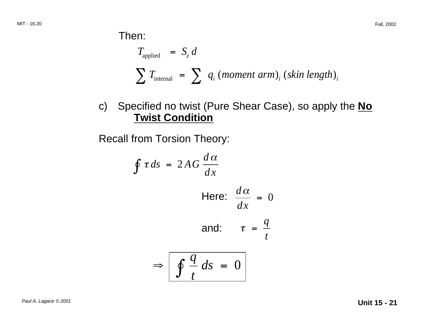Then:

$$
T_{\text{applied}} = S_z d
$$
\n
$$
\sum T_{\text{internal}} = \sum q_i \ (moment \ arm)_i \ (skin \ length)_i
$$

c) Specified no twist (Pure Shear Case), so apply the **No Twist Condition** 

Recall from Torsion Theory:

$$
\oint \tau ds = 2AG \frac{d\alpha}{dx}
$$
\nHere:  $\frac{d\alpha}{dx} = 0$   
\nand:  $\tau = \frac{q}{t}$   
\n $\Rightarrow \boxed{\oint \frac{q}{t} ds = 0}$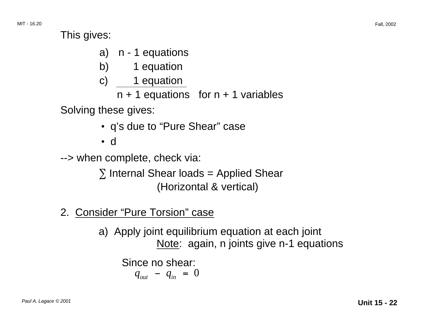This gives:

- a) n 1 equations
- b) 1 equation
- c) 1 equation
	- $n + 1$  equations for  $n + 1$  variables

Solving these gives:

• q's due to "Pure Shear" case

• d

--> when complete, check via:

 $\Sigma$  Internal Shear loads = Applied Shear (Horizontal & vertical)

2. Consider "Pure Torsion" case

a) Apply joint equilibrium equation at each joint Note: again, n joints give n-1 equations

Since no shear:

$$
q_{_{out}} - q_{_{in}} = 0
$$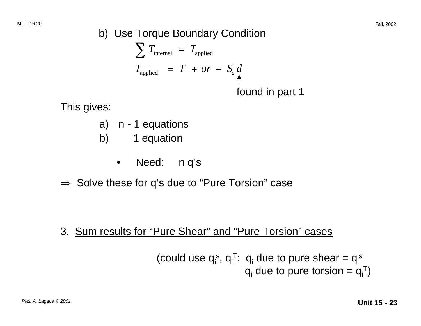b) Use Torque Boundary Condition  $\sum T_{\text{internal}} = T_{\text{applied}}$  $T_{\text{applied}}$  =  $T + or - S_z d$ found in part 1

This gives:

- a) n 1 equations
- b) 1 equation
	- Need: n q's
- <sup>⇒</sup> Solve these for q's due to "Pure Torsion" case

3. Sum results for "Pure Shear" and "Pure Torsion" cases

(could use 
$$
q_i^s
$$
,  $q_i^T$ :  $q_i$  due to pure the  $q_i^s$   
  $q_i$  due to pure torsion =  $q_i^T$ )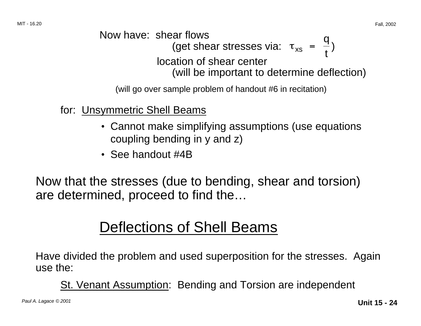Now have: shear flows  
(get shear stresses via: 
$$
\tau_{xs} = \frac{q}{t}
$$
)  
location of shear center  
(will be important to determine deflection)

(will go over sample problem of handout #6 in recitation)

- for: Unsymmetric Shell Beams
	- Cannot make simplifying assumptions (use equations coupling bending in y and z)
	- See handout #4B

Now that the stresses (due to bending, shear and torsion) are determined, proceed to find the…

# Deflections of Shell Beams

Have divided the problem and used superposition for the stresses. Again use the:

St. Venant Assumption: Bending and Torsion are independent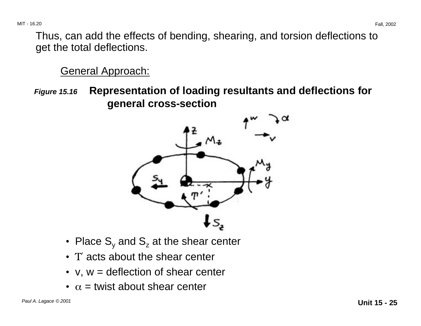Thus, can add the effects of bending, shearing, and torsion deflections to get the total deflections.

### General Approach:

**Figure 15.16 Representation of loading resultants and deflections for general cross-section** 



- Place  $S_y$  and  $S_z$  at the shear center
- T' acts about the shear center
- $v, w =$  deflection of shear center
- $\alpha$  = twist about shear center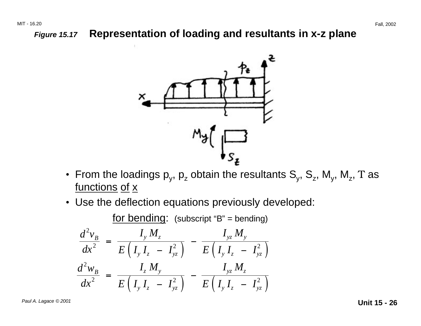### **Figure 15.17 Representation of loading and resultants in x-z plane**



- From the loadings  $p_y$ ,  $p_z$  obtain the resultants  $S_y$ ,  $S_z$ ,  $M_y$ ,  $M_z$ , T as functions of x
- Use the deflection equations previously developed:

for bending: (subscript "B" = bending)

$$
\frac{d^2v_B}{dx^2} = \frac{I_y M_z}{E(I_y I_z - I_{yz}^2)} - \frac{I_{yz} M_y}{E(I_y I_z - I_{yz}^2)}
$$

$$
\frac{d^2w_B}{dx^2} = \frac{I_z M_y}{E(I_y I_z - I_{yz}^2)} - \frac{I_{yz} M_z}{E(I_y I_z - I_{yz}^2)}
$$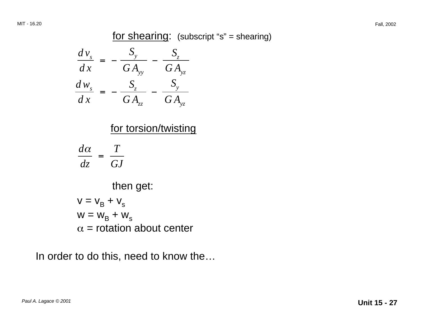for shearing: (subscript "s" = shearing)

$$
\frac{d v_s}{dx} = -\frac{S_y}{G A_{yy}} - \frac{S_z}{G A_{yz}}
$$

$$
\frac{d w_s}{dx} = -\frac{S_z}{G A_{zz}} - \frac{S_y}{G A_{yz}}
$$

### for torsion/twisting

$$
\frac{d\alpha}{dz} = \frac{T}{GJ}
$$

then get:

$$
V = V_{B} + V_{s}
$$
  
 
$$
W = W_{B} + W_{s}
$$
  
 
$$
\alpha = \text{rotation about center}
$$

In order to do this, need to know the…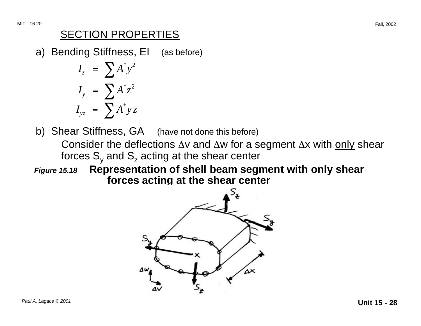### SECTION PROPERTIES

a) Bending Stiffness, EI (as before)

$$
I_z = \sum A^* y^2
$$
  

$$
I_y = \sum A^* z^2
$$
  

$$
I_{yz} = \sum A^* y z
$$

- b) Shear Stiffness, GA (have not done this before)
	- Consider the deflections ∆v and ∆w for a segment ∆x with only shear forces  $S_{v}$  and  $S_{z}$  acting at the shear center
- **Figure 15.18 Representation of shell beam segment with only shear forces acting at the shear center**

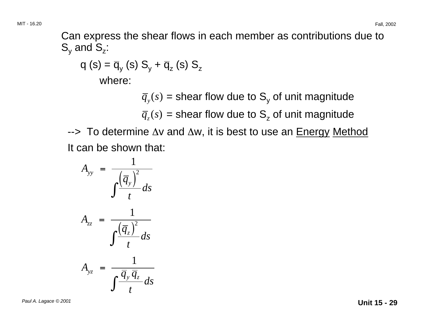Can express the shear flows in each member as contributions due to  $S_v$  and  $S_z$ :

q (s) = 
$$
\overline{q}_y
$$
 (s) S<sub>y</sub> +  $\overline{q}_z$  (s) S<sub>z</sub>  
where:

 $\overline{q}_y(s)$  = shear flow due to S<sub>y</sub> of unit magnitude

 $\overline{q}_z(s)$  = shear flow due to S<sub>z</sub> of unit magnitude

--> To determine ∆v and ∆w, it is best to use an Energy Method It can be shown that:

$$
A_{yy} = \frac{1}{\int \frac{(\overline{q}_y)^2}{t} ds}
$$

$$
A_{zz} = \frac{1}{\int \frac{(\overline{q}_z)^2}{t} ds}
$$

$$
A_{yz} = \frac{1}{\int \frac{\overline{q}_y \overline{q}_z}{t} ds}
$$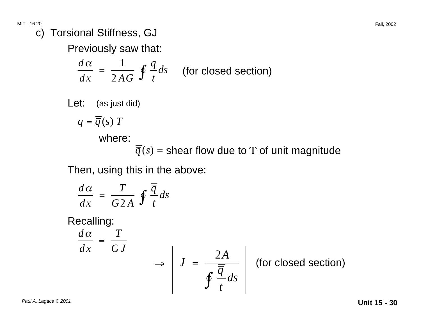c) Torsional Stiffness, GJ

Previously saw that:

$$
\frac{d\alpha}{dx} = \frac{1}{2AG} \oint \frac{q}{t} ds
$$
 (for closed section)

Let: (as just did)

$$
q=\overline{\overline{q}}(s)T
$$

where:

 $\overline{q}(s)$  = shear flow due to  $\Tau$  of unit magnitude

Then, using this in the above:

$$
\frac{d\alpha}{dx} = \frac{T}{G2A} \oint \frac{\overline{\overline{q}}}{t} ds
$$

Recalling:

$$
\frac{d\alpha}{dx} = \frac{T}{GJ}
$$

$$
dx \tGJ \Rightarrow J = \frac{2A}{\oint \frac{\overline{q}}{t} ds}
$$
 (for closed section)

Paul A. Lagace © 2001 **Unit 15 - 30**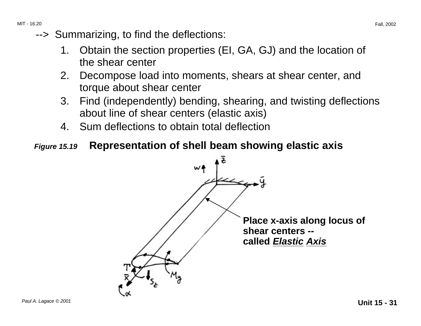- --> Summarizing, to find the deflections:
	- 1. Obtain the section properties (EI, GA, GJ) and the location of the shear center
	- 2. Decompose load into moments, shears at shear center, and torque about shear center
	- 3. Find (independently) bending, shearing, and twisting deflections about line of shear centers (elastic axis)
	- 4. Sum deflections to obtain total deflection
- **Figure 15.19 Representation of shell beam showing elastic axis**

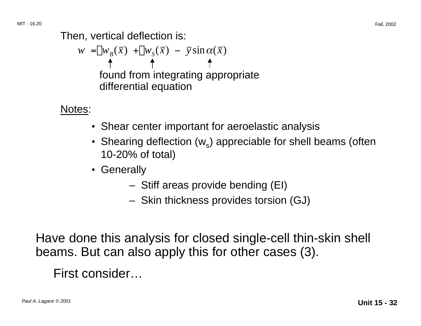Then, vertical deflection is:

$$
w = w_B(\bar{x}) + w_S(\bar{x}) - \bar{y}\sin\alpha(\bar{x})
$$
  
\n
$$
\uparrow \qquad \uparrow \qquad \uparrow
$$
  
\nfound from integrating appropriate  
\ndifferential equation

Notes:

- Shear center important for aeroelastic analysis
- Shearing deflection  $(w_s)$  appreciable for shell beams (often 10-20% of total)
- Generally
	- Stiff areas provide bending (EI)
	- Skin thickness provides torsion (GJ)

Have done this analysis for closed single-cell thin-skin shell beams. But can also apply this for other cases (3).

First consider…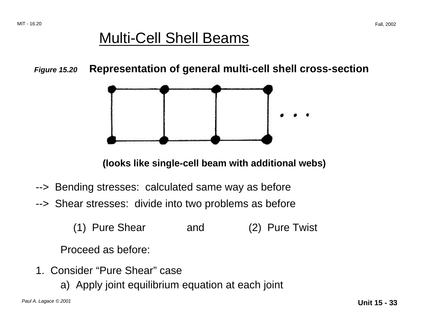# Multi-Cell Shell Beams

**Figure 15.20 Representation of general multi-cell shell cross-section** 



**(looks like single-cell beam with additional webs)** 

- --> Bending stresses: calculated same way as before
- --> Shear stresses: divide into two problems as before
	- (1) Pure Shear and (2) Pure Twist

Proceed as before:

- 1. Consider "Pure Shear" case
	- a) Apply joint equilibrium equation at each joint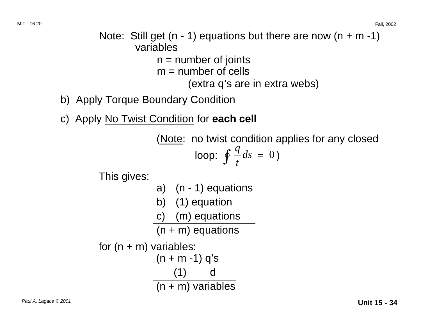### Note: Still get  $(n - 1)$  equations but there are now  $(n + m - 1)$ variables  $n =$  number of joints  $m =$  number of cells

(extra q's are in extra webs)

- b) Apply Torque Boundary Condition
- c) Apply No Twist Condition for **each cell**

(Note: no twist condition applies for any closed

$$
\text{loop: } \oint \frac{q}{t} ds = 0)
$$

This gives:

a) 
$$
(n - 1)
$$
 equations

- b) (1) equation
- c) (m) equations

 $(n + m)$  equations

```
for (n + m) variables:
            (n + m - 1) q's
                (1) d 
            (n + m) variables
```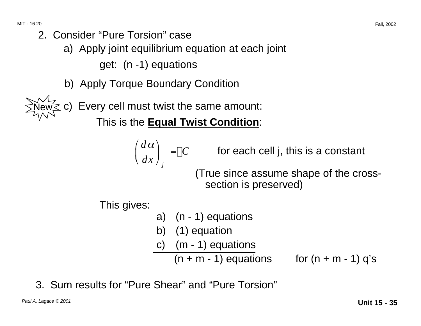- 2. Consider "Pure Torsion" case
	- a) Apply joint equilibrium equation at each joint

get: (n -1) equations

b) Apply Torque Boundary Condition

Every cell must twist the same amount:

This is the **Equal Twist Condition**:

$$
\left(\frac{d\alpha}{dx}\right)_j = C
$$

*for each cell j, this is a constant* 

(True since assume shape of the crosssection is preserved)

This gives:

- a) (n 1) equations
- b) (1) equation
- c) (m 1) equations

 $(n + m - 1)$  equations for  $(n + m - 1)$  q's

3. Sum results for "Pure Shear" and "Pure Torsion"